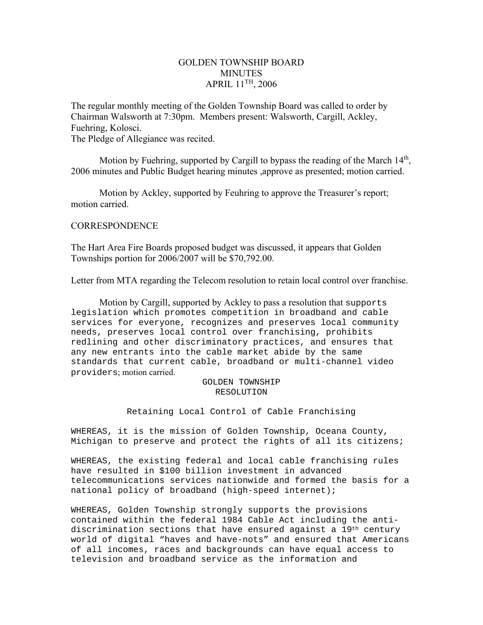# GOLDEN TOWNSHIP BOARD MINUTES APRIL 11TH, 2006

The regular monthly meeting of the Golden Township Board was called to order by Chairman Walsworth at 7:30pm. Members present: Walsworth, Cargill, Ackley, Fuehring, Kolosci.

The Pledge of Allegiance was recited.

Motion by Fuehring, supported by Cargill to bypass the reading of the March 14<sup>th</sup>, 2006 minutes and Public Budget hearing minutes ,approve as presented; motion carried.

 Motion by Ackley, supported by Feuhring to approve the Treasurer's report; motion carried.

# **CORRESPONDENCE**

The Hart Area Fire Boards proposed budget was discussed, it appears that Golden Townships portion for 2006/2007 will be \$70,792.00.

Letter from MTA regarding the Telecom resolution to retain local control over franchise.

 Motion by Cargill, supported by Ackley to pass a resolution that supports legislation which promotes competition in broadband and cable services for everyone, recognizes and preserves local community needs, preserves local control over franchising, prohibits redlining and other discriminatory practices, and ensures that any new entrants into the cable market abide by the same standards that current cable, broadband or multi-channel video providers; motion carried.

> GOLDEN TOWNSHIP RESOLUTION

Retaining Local Control of Cable Franchising

WHEREAS, it is the mission of Golden Township, Oceana County, Michigan to preserve and protect the rights of all its citizens;

WHEREAS, the existing federal and local cable franchising rules have resulted in \$100 billion investment in advanced telecommunications services nationwide and formed the basis for a national policy of broadband (high-speed internet);

WHEREAS, Golden Township strongly supports the provisions contained within the federal 1984 Cable Act including the antidiscrimination sections that have ensured against a 19th century world of digital "haves and have-nots" and ensured that Americans of all incomes, races and backgrounds can have equal access to television and broadband service as the information and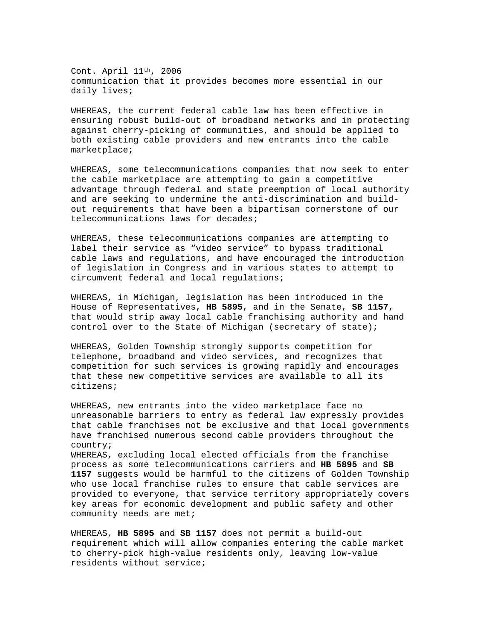Cont. April 11th, 2006 communication that it provides becomes more essential in our daily lives;

WHEREAS, the current federal cable law has been effective in ensuring robust build-out of broadband networks and in protecting against cherry-picking of communities, and should be applied to both existing cable providers and new entrants into the cable marketplace;

WHEREAS, some telecommunications companies that now seek to enter the cable marketplace are attempting to gain a competitive advantage through federal and state preemption of local authority and are seeking to undermine the anti-discrimination and buildout requirements that have been a bipartisan cornerstone of our telecommunications laws for decades;

WHEREAS, these telecommunications companies are attempting to label their service as "video service" to bypass traditional cable laws and regulations, and have encouraged the introduction of legislation in Congress and in various states to attempt to circumvent federal and local regulations;

WHEREAS, in Michigan, legislation has been introduced in the House of Representatives, **HB 5895**, and in the Senate, **SB 1157**, that would strip away local cable franchising authority and hand control over to the State of Michigan (secretary of state);

WHEREAS, Golden Township strongly supports competition for telephone, broadband and video services, and recognizes that competition for such services is growing rapidly and encourages that these new competitive services are available to all its citizens;

WHEREAS, new entrants into the video marketplace face no unreasonable barriers to entry as federal law expressly provides that cable franchises not be exclusive and that local governments have franchised numerous second cable providers throughout the country;

WHEREAS, excluding local elected officials from the franchise process as some telecommunications carriers and **HB 5895** and **SB 1157** suggests would be harmful to the citizens of Golden Township who use local franchise rules to ensure that cable services are provided to everyone, that service territory appropriately covers key areas for economic development and public safety and other community needs are met;

WHEREAS, **HB 5895** and **SB 1157** does not permit a build-out requirement which will allow companies entering the cable market to cherry-pick high-value residents only, leaving low-value residents without service;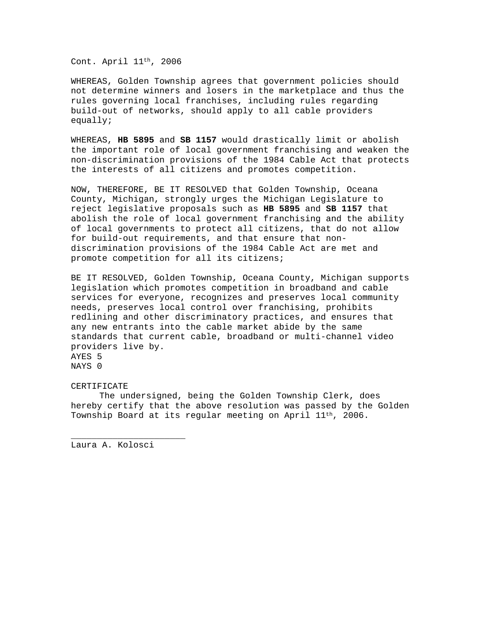Cont. April 11th, 2006

WHEREAS, Golden Township agrees that government policies should not determine winners and losers in the marketplace and thus the rules governing local franchises, including rules regarding build-out of networks, should apply to all cable providers equally;

WHEREAS, **HB 5895** and **SB 1157** would drastically limit or abolish the important role of local government franchising and weaken the non-discrimination provisions of the 1984 Cable Act that protects the interests of all citizens and promotes competition.

NOW, THEREFORE, BE IT RESOLVED that Golden Township, Oceana County, Michigan, strongly urges the Michigan Legislature to reject legislative proposals such as **HB 5895** and **SB 1157** that abolish the role of local government franchising and the ability of local governments to protect all citizens, that do not allow for build-out requirements, and that ensure that nondiscrimination provisions of the 1984 Cable Act are met and promote competition for all its citizens;

BE IT RESOLVED, Golden Township, Oceana County, Michigan supports legislation which promotes competition in broadband and cable services for everyone, recognizes and preserves local community needs, preserves local control over franchising, prohibits redlining and other discriminatory practices, and ensures that any new entrants into the cable market abide by the same standards that current cable, broadband or multi-channel video providers live by. AYES 5 NAYS 0

#### CERTIFICATE

 The undersigned, being the Golden Township Clerk, does hereby certify that the above resolution was passed by the Golden Township Board at its regular meeting on April 11th, 2006.

Laura A. Kolosci

\_\_\_\_\_\_\_\_\_\_\_\_\_\_\_\_\_\_\_\_\_\_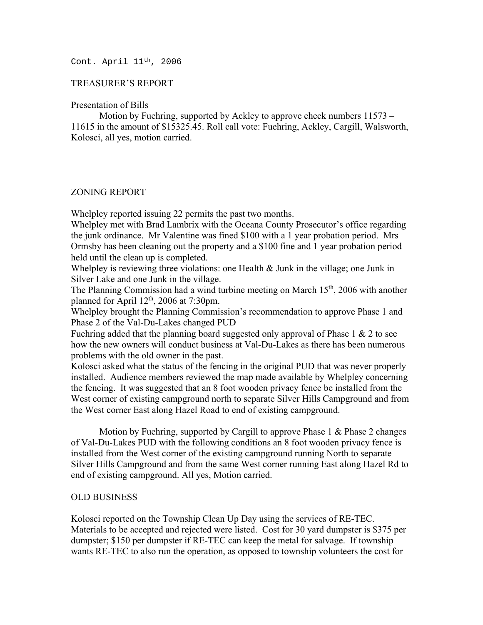Cont. April 11th, 2006

## TREASURER'S REPORT

#### Presentation of Bills

 Motion by Fuehring, supported by Ackley to approve check numbers 11573 – 11615 in the amount of \$15325.45. Roll call vote: Fuehring, Ackley, Cargill, Walsworth, Kolosci, all yes, motion carried.

## ZONING REPORT

Whelpley reported issuing 22 permits the past two months.

Whelpley met with Brad Lambrix with the Oceana County Prosecutor's office regarding the junk ordinance. Mr Valentine was fined \$100 with a 1 year probation period. Mrs Ormsby has been cleaning out the property and a \$100 fine and 1 year probation period held until the clean up is completed.

Whelpley is reviewing three violations: one Health & Junk in the village; one Junk in Silver Lake and one Junk in the village.

The Planning Commission had a wind turbine meeting on March  $15<sup>th</sup>$ , 2006 with another planned for April  $12<sup>th</sup>$ , 2006 at 7:30pm.

Whelpley brought the Planning Commission's recommendation to approve Phase 1 and Phase 2 of the Val-Du-Lakes changed PUD

Fuehring added that the planning board suggested only approval of Phase 1 & 2 to see how the new owners will conduct business at Val-Du-Lakes as there has been numerous problems with the old owner in the past.

Kolosci asked what the status of the fencing in the original PUD that was never properly installed. Audience members reviewed the map made available by Whelpley concerning the fencing. It was suggested that an 8 foot wooden privacy fence be installed from the West corner of existing campground north to separate Silver Hills Campground and from the West corner East along Hazel Road to end of existing campground.

 Motion by Fuehring, supported by Cargill to approve Phase 1 & Phase 2 changes of Val-Du-Lakes PUD with the following conditions an 8 foot wooden privacy fence is installed from the West corner of the existing campground running North to separate Silver Hills Campground and from the same West corner running East along Hazel Rd to end of existing campground. All yes, Motion carried.

## OLD BUSINESS

Kolosci reported on the Township Clean Up Day using the services of RE-TEC. Materials to be accepted and rejected were listed. Cost for 30 yard dumpster is \$375 per dumpster; \$150 per dumpster if RE-TEC can keep the metal for salvage. If township wants RE-TEC to also run the operation, as opposed to township volunteers the cost for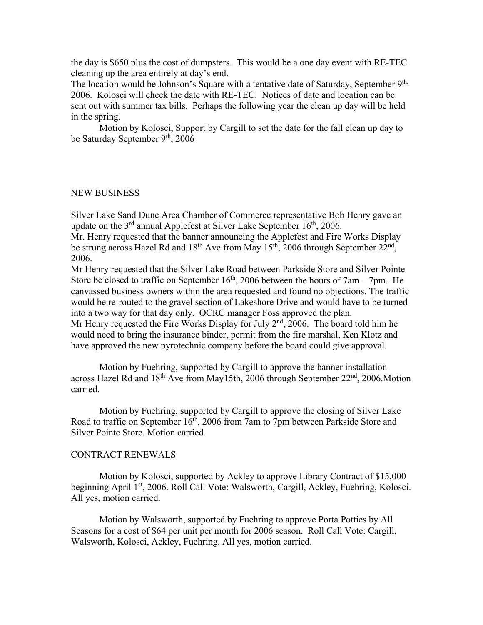the day is \$650 plus the cost of dumpsters. This would be a one day event with RE-TEC cleaning up the area entirely at day's end.

The location would be Johnson's Square with a tentative date of Saturday, September 9<sup>th,</sup> 2006. Kolosci will check the date with RE-TEC. Notices of date and location can be sent out with summer tax bills. Perhaps the following year the clean up day will be held in the spring.

 Motion by Kolosci, Support by Cargill to set the date for the fall clean up day to be Saturday September 9<sup>th</sup>, 2006

#### NEW BUSINESS

Silver Lake Sand Dune Area Chamber of Commerce representative Bob Henry gave an update on the  $3<sup>rd</sup>$  annual Applefest at Silver Lake September 16<sup>th</sup>, 2006.

Mr. Henry requested that the banner announcing the Applefest and Fire Works Display be strung across Hazel Rd and  $18<sup>th</sup>$  Ave from May  $15<sup>th</sup>$ , 2006 through September 22<sup>nd</sup>, 2006.

Mr Henry requested that the Silver Lake Road between Parkside Store and Silver Pointe Store be closed to traffic on September  $16<sup>th</sup>$ , 2006 between the hours of 7am – 7pm. He canvassed business owners within the area requested and found no objections. The traffic would be re-routed to the gravel section of Lakeshore Drive and would have to be turned into a two way for that day only. OCRC manager Foss approved the plan.

Mr Henry requested the Fire Works Display for July  $2<sup>nd</sup>$ , 2006. The board told him he would need to bring the insurance binder, permit from the fire marshal, Ken Klotz and have approved the new pyrotechnic company before the board could give approval.

 Motion by Fuehring, supported by Cargill to approve the banner installation across Hazel Rd and  $18<sup>th</sup>$  Ave from May15th, 2006 through September  $22<sup>nd</sup>$ , 2006. Motion carried.

 Motion by Fuehring, supported by Cargill to approve the closing of Silver Lake Road to traffic on September 16<sup>th</sup>, 2006 from 7am to 7pm between Parkside Store and Silver Pointe Store. Motion carried.

#### CONTRACT RENEWALS

 Motion by Kolosci, supported by Ackley to approve Library Contract of \$15,000 beginning April 1<sup>st</sup>, 2006. Roll Call Vote: Walsworth, Cargill, Ackley, Fuehring, Kolosci. All yes, motion carried.

 Motion by Walsworth, supported by Fuehring to approve Porta Potties by All Seasons for a cost of \$64 per unit per month for 2006 season. Roll Call Vote: Cargill, Walsworth, Kolosci, Ackley, Fuehring. All yes, motion carried.